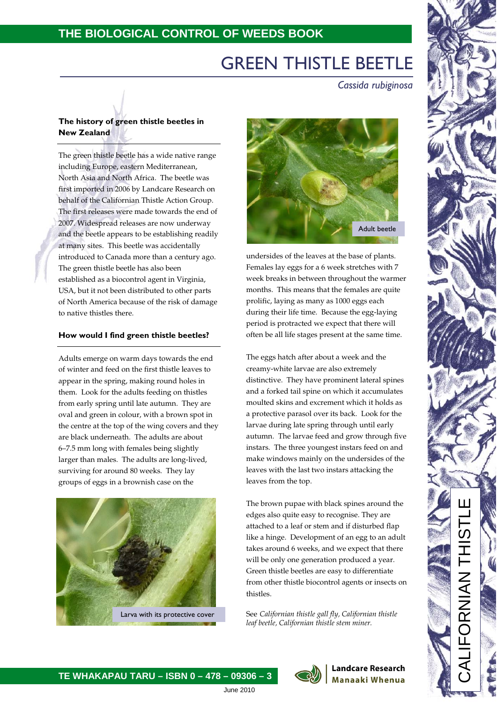# GREEN THISTLE BEETLE

 *Cassida rubiginosa*

# **The history of green thistle beetles in New Zealand**

The green thistle beetle has a wide native range including Europe, eastern Mediterranean, North Asia and North Africa. The beetle was first imported in 2006 by Landcare Research on behalf of the Californian Thistle Action Group. The first releases were made towards the end of 2007. Widespread releases are now underway and the beetle appears to be establishing readily at many sites. This beetle was accidentally introduced to Canada more than a century ago. The green thistle beetle has also been established as a biocontrol agent in Virginia, USA, but it not been distributed to other parts of North America because of the risk of damage to native thistles there.

## **How would I find green thistle beetles?**

Adults emerge on warm days towards the end of winter and feed on the first thistle leaves to appear in the spring, making round holes in them. Look for the adults feeding on thistles from early spring until late autumn. They are oval and green in colour, with a brown spot in the centre at the top of the wing covers and they are black underneath. The adults are about 6–7.5 mm long with females being slightly larger than males. The adults are long-lived, surviving for around 80 weeks. They lay groups of eggs in a brownish case on the





undersides of the leaves at the base of plants. Females lay eggs for a 6 week stretches with 7 week breaks in between throughout the warmer months. This means that the females are quite prolific, laying as many as 1000 eggs each during their life time. Because the egg-laying period is protracted we expect that there will often be all life stages present at the same time.

The eggs hatch after about a week and the creamy-white larvae are also extremely distinctive. They have prominent lateral spines and a forked tail spine on which it accumulates moulted skins and excrement which it holds as a protective parasol over its back. Look for the larvae during late spring through until early autumn. The larvae feed and grow through five instars. The three youngest instars feed on and make windows mainly on the undersides of the leaves with the last two instars attacking the leaves from the top.

The brown pupae with black spines around the edges also quite easy to recognise. They are attached to a leaf or stem and if disturbed flap like a hinge. Development of an egg to an adult takes around 6 weeks, and we expect that there will be only one generation produced a year. Green thistle beetles are easy to differentiate from other thistle biocontrol agents or insects on thistles.

See *Californian thistle gall fly, Californian thistle leaf beetle, Californian thistle stem miner.*

> **Landcare Research Manaaki Whenua**

**TE WHAKAPAU TARU – ISBN 0 – 478 – 09306 – 3**